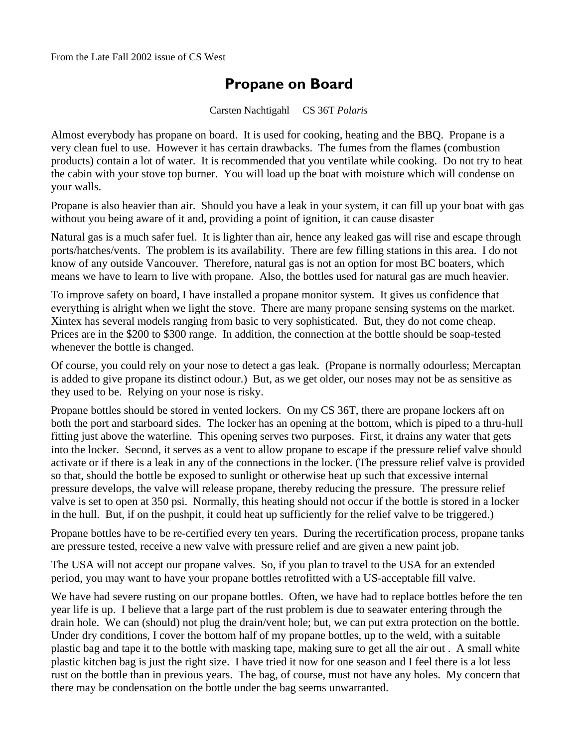## **Propane on Board**

Carsten Nachtigahl CS 36T *Polaris* 

Almost everybody has propane on board. It is used for cooking, heating and the BBQ. Propane is a very clean fuel to use. However it has certain drawbacks. The fumes from the flames (combustion products) contain a lot of water. It is recommended that you ventilate while cooking. Do not try to heat the cabin with your stove top burner. You will load up the boat with moisture which will condense on your walls.

Propane is also heavier than air. Should you have a leak in your system, it can fill up your boat with gas without you being aware of it and, providing a point of ignition, it can cause disaster

Natural gas is a much safer fuel. It is lighter than air, hence any leaked gas will rise and escape through ports/hatches/vents. The problem is its availability. There are few filling stations in this area. I do not know of any outside Vancouver. Therefore, natural gas is not an option for most BC boaters, which means we have to learn to live with propane. Also, the bottles used for natural gas are much heavier.

To improve safety on board, I have installed a propane monitor system. It gives us confidence that everything is alright when we light the stove. There are many propane sensing systems on the market. Xintex has several models ranging from basic to very sophisticated. But, they do not come cheap. Prices are in the \$200 to \$300 range. In addition, the connection at the bottle should be soap-tested whenever the bottle is changed.

Of course, you could rely on your nose to detect a gas leak. (Propane is normally odourless; Mercaptan is added to give propane its distinct odour.) But, as we get older, our noses may not be as sensitive as they used to be. Relying on your nose is risky.

Propane bottles should be stored in vented lockers. On my CS 36T, there are propane lockers aft on both the port and starboard sides. The locker has an opening at the bottom, which is piped to a thru-hull fitting just above the waterline. This opening serves two purposes. First, it drains any water that gets into the locker. Second, it serves as a vent to allow propane to escape if the pressure relief valve should activate or if there is a leak in any of the connections in the locker. (The pressure relief valve is provided so that, should the bottle be exposed to sunlight or otherwise heat up such that excessive internal pressure develops, the valve will release propane, thereby reducing the pressure. The pressure relief valve is set to open at 350 psi. Normally, this heating should not occur if the bottle is stored in a locker in the hull. But, if on the pushpit, it could heat up sufficiently for the relief valve to be triggered.)

Propane bottles have to be re-certified every ten years. During the recertification process, propane tanks are pressure tested, receive a new valve with pressure relief and are given a new paint job.

The USA will not accept our propane valves. So, if you plan to travel to the USA for an extended period, you may want to have your propane bottles retrofitted with a US-acceptable fill valve.

We have had severe rusting on our propane bottles. Often, we have had to replace bottles before the ten year life is up. I believe that a large part of the rust problem is due to seawater entering through the drain hole. We can (should) not plug the drain/vent hole; but, we can put extra protection on the bottle. Under dry conditions, I cover the bottom half of my propane bottles, up to the weld, with a suitable plastic bag and tape it to the bottle with masking tape, making sure to get all the air out . A small white plastic kitchen bag is just the right size. I have tried it now for one season and I feel there is a lot less rust on the bottle than in previous years. The bag, of course, must not have any holes. My concern that there may be condensation on the bottle under the bag seems unwarranted.